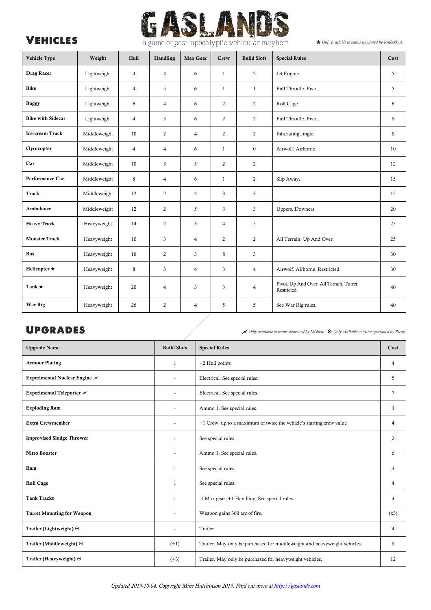

| Vehicle Type             | Weight       | Hull           | Handling       | Max Gear       | Crew           | <b>Build Slots</b> | <b>Special Rules</b>                                   | Cost |
|--------------------------|--------------|----------------|----------------|----------------|----------------|--------------------|--------------------------------------------------------|------|
| Drag Racer               | Lightweight  | $\overline{4}$ | $\overline{4}$ | 6              | $\mathbf{1}$   | 2                  | Jet Engine.                                            | 5    |
| Bike                     | Lightweight  | $\overline{4}$ | 5              | 6              | $\mathbf{1}$   | $\mathbf{1}$       | Full Throttle. Pivot.                                  | 5    |
| <b>Buggy</b>             | Lightweight  | 6              | $\overline{4}$ | 6              | 2              | $\overline{c}$     | Roll Cage.                                             | 6    |
| <b>Bike with Sidecar</b> | Lightweight  | $\overline{4}$ | 5              | 6              | 2              | $\overline{c}$     | Full Throttle. Pivot.                                  | 8    |
| Ice-cream Truck          | Middleweight | 10             | 2              | $\overline{4}$ | 2              | 2                  | Infuriating Jingle.                                    | 8    |
| Gyrocopter               | Middleweight | $\overline{4}$ | $\overline{4}$ | 6              | $\mathbf{1}$   | $\bf{0}$           | Airwolf, Airborne.                                     | 10   |
| Car                      | Middleweight | 10             | 3              | 5              | 2              | 2                  |                                                        | 12   |
| Performance Car          | Middleweight | 8              | $\overline{4}$ | 6              | $\mathbf{1}$   | $\overline{c}$     | Slip Away.                                             | 15   |
| Truck                    | Middleweight | 12             | $\overline{2}$ | $\overline{4}$ | $\mathfrak{Z}$ | 3                  |                                                        | 15   |
| Ambulance                | Middleweight | 12             | $\overline{2}$ | 5              | 3              | 3                  | Uppers. Downers.                                       | 20   |
| <b>Heavy Truck</b>       | Heavyweight  | 14             | 2              | 3              | $\overline{4}$ | 5                  |                                                        | 25   |
| <b>Monster Truck</b>     | Heavyweight  | 10             | 3              | $\overline{4}$ | 2              | $\overline{c}$     | All Terrain. Up And Over.                              | 25   |
| <b>Bus</b>               | Heavyweight  | 16             | 2              | $\mathbf{3}$   | 8              | 3                  |                                                        | 30   |
| Helicopter $\star$       | Heavyweight  | 8              | 3              | $\overline{4}$ | 3              | $\overline{4}$     | Airwolf. Airborne. Restricted                          | 30   |
| Tank $\star$             | Heavyweight  | 20             | $\overline{4}$ | $\mathfrak{Z}$ | $\mathfrak{Z}$ | $\overline{4}$     | Pivot. Up And Over. All Terrain. Turret.<br>Restricted | 40   |
| War Rig                  | Heavyweight  | 26             | $\overline{2}$ | $\overline{4}$ | 5              | 5                  | See War Rig rules.                                     | 40   |

UPGRADES

| <b>Upgrade Name</b>               | <b>Build Slots</b>       | <b>Special Rules</b>                                                      | Cost           |
|-----------------------------------|--------------------------|---------------------------------------------------------------------------|----------------|
| <b>Armour Plating</b>             | $\mathbf{1}$             | +2 Hull points                                                            | 4              |
| Experimental Nuclear Engine /     | $\overline{\phantom{a}}$ | Electrical. See special rules.                                            | 5              |
| Experimental Teleporter /         |                          | Electrical. See special rules.                                            | $\overline{7}$ |
| <b>Exploding Ram</b>              |                          | Ammo 1. See special rules.                                                |                |
| <b>Extra Crewmember</b>           |                          | +1 Crew, up to a maximum of twice the vehicle's starting crew value       | 4              |
| <b>Improvised Sludge Thrower</b>  | 1                        | See special rules.                                                        | $\overline{c}$ |
| <b>Nitro Booster</b>              |                          | Ammo 1. See special rules.                                                | 6              |
| Ram                               | $\mathbf{1}$             | See special rules.                                                        | 4              |
| <b>Roll Cage</b>                  | 1                        | See special rules.                                                        | 4              |
| <b>Tank Tracks</b>                | $\mathbf{1}$             | -1 Max gear. +1 Handling. See special rules.                              | 4              |
| <b>Turret Mounting for Weapon</b> |                          | Weapon gains 360 arc of fire.                                             | (x3)           |
| Trailer (Lightweight) ⊙           |                          | Trailer                                                                   | 4              |
| Trailer (Middleweight) $\odot$    | $(+1)$                   | Trailer. May only be purchased for middleweight and heavyweight vehicles. | 8              |
| Trailer (Heavyweight) $\odot$     | $(+3)$                   | Trailer. May only be purchased for heavyweight vehicles.                  | 12             |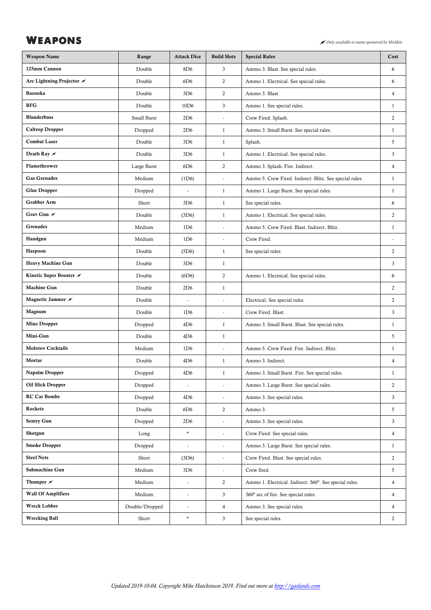# WEAPONS **WEAPONS**

| <b>Weapon Name</b>                 | Range                    | <b>Attack Dice</b>       | <b>Build Slots</b>       | <b>Special Rules</b>                                    | Cost           |
|------------------------------------|--------------------------|--------------------------|--------------------------|---------------------------------------------------------|----------------|
| 125mm Cannon                       | Double                   | 8D <sub>6</sub>          | 3                        | Ammo 3. Blast. See special rules.                       | 6              |
| Arc Lightning Projector /          | Double                   | 6D6                      | $\overline{2}$           | Ammo 1. Electrical. See special rules.                  | 6              |
| Bazooka                            | Double                   | 3D <sub>6</sub>          | 2                        | Ammo 3. Blast.                                          | $\overline{4}$ |
| <b>BFG</b>                         | Double                   | 10 <sub>D</sub> 6        | 3                        | Ammo 1. See special rules.                              | $\mathbf{1}$   |
| <b>Blunderbuss</b>                 | Small Burst              | 2D6                      |                          | Crew Fired. Splash.                                     | 2              |
| <b>Caltrop Dropper</b>             | Dropped                  | 2D6                      | $\mathbf{1}$             | Ammo 3. Small Burst. See special rules.                 | $\mathbf{1}$   |
| <b>Combat Laser</b>                | Double                   | 3D <sub>6</sub>          | $\mathbf{1}$             | Splash.                                                 | $\overline{5}$ |
| Death Ray $\mathscr N$             | Double                   | 3D <sub>6</sub>          | $\mathbf{1}$             | Ammo 1. Electrical. See special rules.                  | 3              |
| Flamethrower                       | Large Burst              | 6D6                      | $\overline{2}$           | Ammo 3. Splash. Fire. Indirect.                         | $\overline{4}$ |
| <b>Gas Grenades</b>                | Medium                   | (1D6)                    | $\overline{\phantom{a}}$ | Ammo 5. Crew Fired. Indirect. Blitz. See special rules. | $\mathbf{1}$   |
| <b>Glue Dropper</b>                | Dropped                  |                          | $\mathbf{1}$             | Ammo 1. Large Burst. See special rules.                 | $\mathbf{1}$   |
| Grabber Arm                        | Short                    | 3D <sub>6</sub>          | $\mathbf{1}$             | See special rules.                                      | 6              |
| Grav Gun /                         | Double                   | (3D6)                    | $\mathbf{1}$             | Ammo 1. Electrical. See special rules.                  | $\overline{2}$ |
| <b>Grenades</b>                    | Medium                   | 1D6                      | ä,                       | Ammo 5. Crew Fired. Blast. Indirect. Blitz.             | $\mathbf{1}$   |
| Handgun                            | Medium                   | 1D6                      | $\overline{\phantom{a}}$ | Crew Fired.                                             | ÷              |
| Harpoon                            | Double                   | (5D6)                    | $\mathbf{1}$             | See special rules.                                      | 2              |
| <b>Heavy Machine Gun</b>           | Double                   | 3D <sub>6</sub>          | $\mathbf{1}$             |                                                         | $\mathfrak{Z}$ |
| Kinetic Super Booster ⊮            | Double                   | (6D6)                    | $\overline{c}$           | Ammo 1. Electrical. See special rules.                  | 6              |
| Machine Gun                        | Double                   | 2D6                      | $\mathbf{1}$             |                                                         | $\overline{2}$ |
| Magnetic Jammer $\nu$              | Double                   | $\overline{\phantom{a}}$ | $\overline{\phantom{a}}$ | Electrical. See special rules.                          | 2              |
| Magnum                             | Double                   | 1D6                      | ÷,                       | Crew Fired. Blast.                                      | 3              |
| <b>Mine Dropper</b>                | Dropped                  | 4D6                      | $\mathbf{1}$             | Ammo 3. Small Burst. Blast. See special rules.          | $\mathbf{1}$   |
| Mini-Gun                           | Double                   | 4D6                      | $\mathbf{1}$             |                                                         | $\overline{5}$ |
| <b>Molotov Cocktails</b>           | Medium                   | 1D6                      | ÷,                       | Ammo 5. Crew Fired. Fire. Indirect. Blitz.              | 1              |
| Mortar                             | Double                   | 4D6                      | $\mathbf{1}$             | Ammo 3. Indirect.                                       | $\overline{4}$ |
| Napalm Dropper                     | $\operatorname{Dropped}$ | 4D6                      | $\mathbf{1}$             | Ammo 3. Small Burst. Fire. See special rules.           | 1              |
| Oil Slick Dropper                  | Dropped                  | $\blacksquare$           | $\blacksquare$           | Ammo 3. Large Burst. See special rules.                 | 2              |
| <b>RC</b> Car Bombs                | Dropped                  | 4D6                      | $\blacksquare$           | Ammo 3. See special rules.                              | 3              |
| Rockets                            | Double                   | 6D6                      | $\overline{2}$           | Ammo 3.                                                 | 5              |
| <b>Sentry Gun</b>                  | Dropped                  | 2D6                      | $\blacksquare$           | Ammo 3. See special rules.                              | 3              |
| Shotgun                            | Long                     | $\star$                  | ÷,                       | Crew Fired. See special rules.                          | $\overline{4}$ |
| <b>Smoke Dropper</b>               | Dropped                  | $\blacksquare$           | ÷,                       | Ammo 3. Large Burst. See special rules.                 | $\mathbf{1}$   |
| <b>Steel Nets</b>                  | Short                    | (3D6)                    | $\blacksquare$           | Crew Fired. Blast. See special rules.                   | $\overline{2}$ |
| Submachine Gun                     | Medium                   | 3D6                      | ÷.                       | Crew fired.                                             | 5              |
| Thumper $\boldsymbol{\mathscr{N}}$ | Medium                   | $\blacksquare$           | $\overline{2}$           | Ammo 1. Electrical. Indirect. 360°. See special rules.  | $\overline{4}$ |
| <b>Wall Of Amplifiers</b>          | Medium                   | $\overline{\phantom{a}}$ | 3                        | 360° arc of fire. See special rules.                    | $\overline{4}$ |
| Wreck Lobber                       | Double/Dropped           | $\overline{\phantom{a}}$ | $\overline{4}$           | Ammo 3. See special rules.                              | $\overline{4}$ |
| <b>Wrecking Ball</b>               | Short                    | $\star$                  | 3                        | See special rules.                                      | 2              |